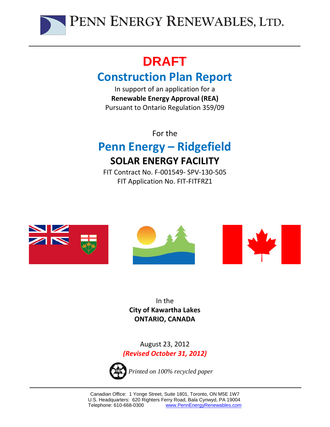

# **DRAFT**

# **Construction Plan Report**

In support of an application for a **Renewable Energy Approval (REA)** Pursuant to Ontario Regulation 359/09

For the

# **Penn Energy – Ridgefield SOLAR ENERGY FACILITY**

FIT Contract No. F‐001549‐ SPV‐130‐505 FIT Application No. FIT‐FITFRZ1



In the **City of Kawartha Lakes ONTARIO, CANADA**

August 23, 2012 *(Revised October 31, 2012)*

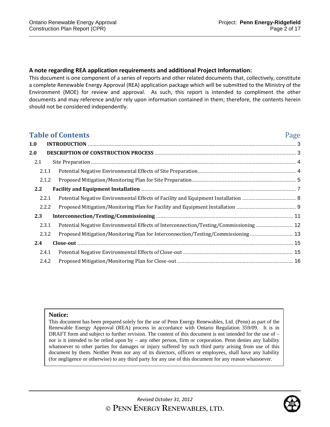## **A note regarding REA application requirements and additional Project Information:**

This document is one component of a series of reports and other related documents that, collectively, constitute a complete Renewable Energy Approval (REA) application package which will be submitted to the Ministry of the Environment (MOE) for review and approval. As such, this report is intended to compliment the other documents and may reference and/or rely upon information contained in them; therefore, the contents herein should not be considered independently.

|       | <b>Table of Contents</b>                                                             | Page |
|-------|--------------------------------------------------------------------------------------|------|
| 1.0   |                                                                                      |      |
| 2.0   |                                                                                      |      |
| 2.1   |                                                                                      |      |
| 2.1.1 |                                                                                      |      |
| 2.1.2 |                                                                                      |      |
| 2.2   |                                                                                      |      |
| 2.2.1 |                                                                                      |      |
| 2.2.2 |                                                                                      |      |
| 2.3   |                                                                                      |      |
| 2.3.1 | Potential Negative Environmental Effects of Interconnection/Testing/Commissioning 12 |      |
| 2.3.2 | Proposed Mitigation/Monitoring Plan for Interconnection/Testing/Commissioning 13     |      |
| 2.4   |                                                                                      |      |
| 2.4.1 |                                                                                      |      |
| 2.4.2 |                                                                                      |      |

#### **Notice:**

This document has been prepared solely for the use of Penn Energy Renewables, Ltd. (Penn) as part of the Renewable Energy Approval (REA) process in accordance with Ontario Regulation 359/09. It is in DRAFT form and subject to further revision. The content of this document is not intended for the use of – nor is it intended to be relied upon by – any other person, firm or corporation. Penn denies any liability whatsoever to other parties for damages or injury suffered by such third party arising from use of this document by them. Neither Penn nor any of its directors, officers or employees, shall have any liability (for negligence or otherwise) to any third party for any use of this document for any reason whatsoever.

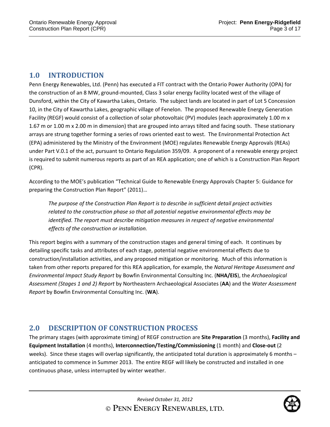## **1.0 INTRODUCTION**

Penn Energy Renewables, Ltd. (Penn) has executed a FIT contract with the Ontario Power Authority (OPA) for the construction of an 8 MW, ground‐mounted, Class 3 solar energy facility located west of the village of Dunsford, within the City of Kawartha Lakes, Ontario. The subject lands are located in part of Lot 5 Concession 10, in the City of Kawartha Lakes, geographic village of Fenelon. The proposed Renewable Energy Generation Facility (REGF) would consist of a collection of solar photovoltaic (PV) modules (each approximately 1.00 m x 1.67 m or 1.00 m x 2.00 m in dimension) that are grouped into arrays tilted and facing south. These stationary arrays are strung together forming a series of rows oriented east to west. The Environmental Protection Act (EPA) administered by the Ministry of the Environment (MOE) regulates Renewable Energy Approvals (REAs) under Part V.0.1 of the act, pursuant to Ontario Regulation 359/09. A proponent of a renewable energy project is required to submit numerous reports as part of an REA application; one of which is a Construction Plan Report (CPR).

According to the MOE's publication "Technical Guide to Renewable Energy Approvals Chapter 5: Guidance for preparing the Construction Plan Report" (2011)…

*The purpose of the Construction Plan Report is to describe in sufficient detail project activities related to the construction phase so that all potential negative environmental effects may be identified. The report must describe mitigation measures in respect of negative environmental effects of the construction or installation.* 

This report begins with a summary of the construction stages and general timing of each. It continues by detailing specific tasks and attributes of each stage, potential negative environmental effects due to construction/installation activities, and any proposed mitigation or monitoring. Much of this information is taken from other reports prepared for this REA application, for example, the *Natural Heritage Assessment and Environmental Impact Study Report* by Bowfin Environmental Consulting Inc. (**NHA/EIS**), the *Archaeological Assessment (Stages 1 and 2) Report* by Northeastern Archaeological Associates (**AA**) and the *Water Assessment Report* by Bowfin Environmental Consulting Inc. (**WA**).

## **2.0 DESCRIPTION OF CONSTRUCTION PROCESS**

The primary stages (with approximate timing) of REGF construction are **Site Preparation** (3 months), **Facility and Equipment Installation** (4 months), **Interconnection/Testing/Commissioning** (1 month) and **Close‐out** (2 weeks). Since these stages will overlap significantly, the anticipated total duration is approximately 6 months – anticipated to commence in Summer 2013. The entire REGF will likely be constructed and installed in one continuous phase, unless interrupted by winter weather.

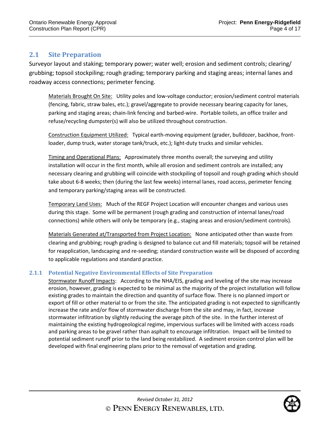## **2.1 Site Preparation**

Surveyor layout and staking; temporary power; water well; erosion and sediment controls; clearing/ grubbing; topsoil stockpiling; rough grading; temporary parking and staging areas; internal lanes and roadway access connections; perimeter fencing.

Materials Brought On Site: Utility poles and low-voltage conductor; erosion/sediment control materials (fencing, fabric, straw bales, etc.); gravel/aggregate to provide necessary bearing capacity for lanes, parking and staging areas; chain‐link fencing and barbed‐wire. Portable toilets, an office trailer and refuse/recycling dumpster(s) will also be utilized throughout construction.

Construction Equipment Utilized: Typical earth‐moving equipment (grader, bulldozer, backhoe, front‐ loader, dump truck, water storage tank/truck, etc.); light-duty trucks and similar vehicles.

Timing and Operational Plans: Approximately three months overall; the surveying and utility installation will occur in the first month, while all erosion and sediment controls are installed; any necessary clearing and grubbing will coincide with stockpiling of topsoil and rough grading which should take about 6‐8 weeks; then (during the last few weeks) internal lanes, road access, perimeter fencing and temporary parking/staging areas will be constructed.

Temporary Land Uses: Much of the REGF Project Location will encounter changes and various uses during this stage. Some will be permanent (rough grading and construction of internal lanes/road connections) while others will only be temporary (e.g., staging areas and erosion/sediment controls).

Materials Generated at/Transported from Project Location: None anticipated other than waste from clearing and grubbing; rough grading is designed to balance cut and fill materials; topsoil will be retained for reapplication, landscaping and re‐seeding; standard construction waste will be disposed of according to applicable regulations and standard practice.

## **2.1.1 Potential Negative Environmental Effects of Site Preparation**

Stormwater Runoff Impacts: According to the NHA/EIS, grading and leveling of the site may increase erosion, however, grading is expected to be minimal as the majority of the project installation will follow existing grades to maintain the direction and quantity of surface flow. There is no planned import or export of fill or other material to or from the site. The anticipated grading is not expected to significantly increase the rate and/or flow of stormwater discharge from the site and may, in fact, increase stormwater infiltration by slightly reducing the average pitch of the site. In the further interest of maintaining the existing hydrogeological regime, impervious surfaces will be limited with access roads and parking areas to be gravel rather than asphalt to encourage infiltration. Impact will be limited to potential sediment runoff prior to the land being restabilized. A sediment erosion control plan will be developed with final engineering plans prior to the removal of vegetation and grading.

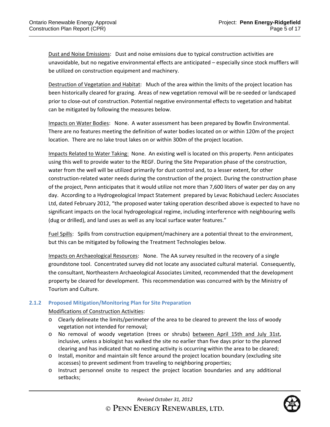Dust and Noise Emissions: Dust and noise emissions due to typical construction activities are unavoidable, but no negative environmental effects are anticipated – especially since stock mufflers will be utilized on construction equipment and machinery.

Destruction of Vegetation and Habitat: Much of the area within the limits of the project location has been historically cleared for grazing. Areas of new vegetation removal will be re‐seeded or landscaped prior to close‐out of construction. Potential negative environmental effects to vegetation and habitat can be mitigated by following the measures below.

Impacts on Water Bodies: None. A water assessment has been prepared by Bowfin Environmental. There are no features meeting the definition of water bodies located on or within 120m of the project location. There are no lake trout lakes on or within 300m of the project location.

Impacts Related to Water Taking: None. An existing well is located on this property. Penn anticipates using this well to provide water to the REGF. During the Site Preparation phase of the construction, water from the well will be utilized primarily for dust control and, to a lesser extent, for other construction‐related water needs during the construction of the project. During the construction phase of the project, Penn anticipates that it would utilize not more than 7,600 liters of water per day on any day. According to a Hydrogeological Impact Statement prepared by Levac Robichaud Leclerc Associates Ltd, dated February 2012, "the proposed water taking operation described above is expected to have no significant impacts on the local hydrogeological regime, including interference with neighbouring wells (dug or drilled), and land uses as well as any local surface water features."

Fuel Spills: Spills from construction equipment/machinery are a potential threat to the environment, but this can be mitigated by following the Treatment Technologies below.

Impacts on Archaeological Resources: None. The AA survey resulted in the recovery of a single groundstone tool. Concentrated survey did not locate any associated cultural material. Consequently, the consultant, Northeastern Archaeological Associates Limited, recommended that the development property be cleared for development. This recommendation was concurred with by the Ministry of Tourism and Culture.

## **2.1.2 Proposed Mitigation/Monitoring Plan for Site Preparation**

#### Modifications of Construction Activities:

- o Clearly delineate the limits/perimeter of the area to be cleared to prevent the loss of woody vegetation not intended for removal;
- o No removal of woody vegetation (trees or shrubs) between April 15th and July 31st, inclusive, unless a biologist has walked the site no earlier than five days prior to the planned clearing and has indicated that no nesting activity is occurring within the area to be cleared;
- o Install, monitor and maintain silt fence around the project location boundary (excluding site accesses) to prevent sediment from traveling to neighboring properties;
- o Instruct personnel onsite to respect the project location boundaries and any additional setbacks;

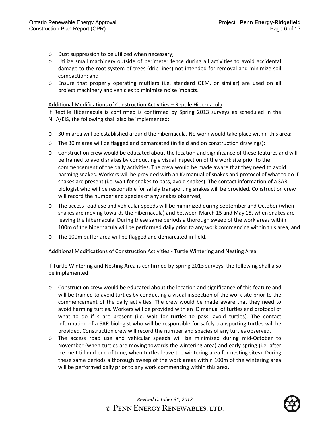- o Dust suppression to be utilized when necessary;
- o Utilize small machinery outside of perimeter fence during all activities to avoid accidental damage to the root system of trees (drip lines) not intended for removal and minimize soil compaction; and
- o Ensure that properly operating mufflers (i.e. standard OEM, or similar) are used on all project machinery and vehicles to minimize noise impacts.

#### Additional Modifications of Construction Activities – Reptile Hibernacula

If Reptile Hibernacula is confirmed is confirmed by Spring 2013 surveys as scheduled in the NHA/EIS, the following shall also be implemented:

- o 30 m area will be established around the hibernacula. No work would take place within this area;
- o The 30 m area will be flagged and demarcated (in field and on construction drawings);
- o Construction crew would be educated about the location and significance of these features and will be trained to avoid snakes by conducting a visual inspection of the work site prior to the commencement of the daily activities. The crew would be made aware that they need to avoid harming snakes. Workers will be provided with an ID manual of snakes and protocol of what to do if snakes are present (i.e. wait for snakes to pass, avoid snakes). The contact information of a SAR biologist who will be responsible for safely transporting snakes will be provided. Construction crew will record the number and species of any snakes observed;
- o The access road use and vehicular speeds will be minimized during September and October (when snakes are moving towards the hibernacula) and between March 15 and May 15, when snakes are leaving the hibernacula. During these same periods a thorough sweep of the work areas within 100m of the hibernacula will be performed daily prior to any work commencing within this area; and
- o The 100m buffer area will be flagged and demarcated in field.

#### Additional Modifications of Construction Activities ‐ Turtle Wintering and Nesting Area

If Turtle Wintering and Nesting Area is confirmed by Spring 2013 surveys, the following shall also be implemented:

- o Construction crew would be educated about the location and significance of this feature and will be trained to avoid turtles by conducting a visual inspection of the work site prior to the commencement of the daily activities. The crew would be made aware that they need to avoid harming turtles. Workers will be provided with an ID manual of turtles and protocol of what to do if s are present (i.e. wait for turtles to pass, avoid turtles). The contact information of a SAR biologist who will be responsible for safely transporting turtles will be provided. Construction crew will record the number and species of any turtles observed.
- o The access road use and vehicular speeds will be minimized during mid‐October to November (when turtles are moving towards the wintering area) and early spring (i.e. after ice melt till mid‐end of June, when turtles leave the wintering area for nesting sites). During these same periods a thorough sweep of the work areas within 100m of the wintering area will be performed daily prior to any work commencing within this area.

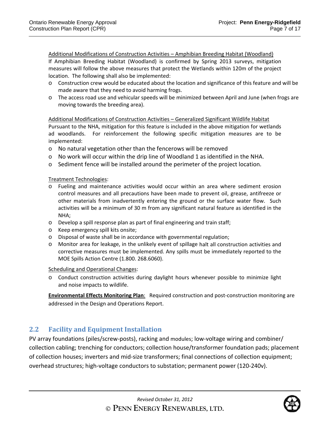Additional Modifications of Construction Activities – Amphibian Breeding Habitat (Woodland) If Amphibian Breeding Habitat (Woodland) is confirmed by Spring 2013 surveys, mitigation measures will follow the above measures that protect the Wetlands within 120m of the project location. The following shall also be implemented:

- o Construction crew would be educated about the location and significance of this feature and will be made aware that they need to avoid harming frogs.
- o The access road use and vehicular speeds will be minimized between April and June (when frogs are moving towards the breeding area).

Additional Modifications of Construction Activities – Generalized Significant Wildlife Habitat Pursuant to the NHA, mitigation for this feature is included in the above mitigation for wetlands ad woodlands. For reinforcement the following specific mitigation measures are to be implemented:

- o No natural vegetation other than the fencerows will be removed
- $\circ$  No work will occur within the drip line of Woodland 1 as identified in the NHA.
- o Sediment fence will be installed around the perimeter of the project location.

Treatment Technologies:

- o Fueling and maintenance activities would occur within an area where sediment erosion control measures and all precautions have been made to prevent oil, grease, antifreeze or other materials from inadvertently entering the ground or the surface water flow. Such activities will be a minimum of 30 m from any significant natural feature as identified in the NHA;
- o Develop a spill response plan as part of final engineering and train staff;
- o Keep emergency spill kits onsite;
- o Disposal of waste shall be in accordance with governmental regulation;
- o Monitor area for leakage, in the unlikely event of spillage halt all construction activities and corrective measures must be implemented. Any spills must be immediately reported to the MOE Spills Action Centre (1.800. 268.6060).

Scheduling and Operational Changes:

o Conduct construction activities during daylight hours whenever possible to minimize light and noise impacts to wildlife.

**Environmental Effects Monitoring Plan**: Required construction and post‐construction monitoring are addressed in the Design and Operations Report.

## **2.2 Facility and Equipment Installation**

PV array foundations (piles/screw‐posts), racking and modules; low‐voltage wiring and combiner/ collection cabling; trenching for conductors; collection house/transformer foundation pads; placement of collection houses; inverters and mid‐size transformers; final connections of collection equipment; overhead structures; high‐voltage conductors to substation; permanent power (120‐240v).

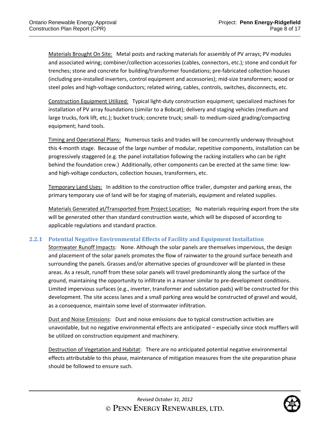Materials Brought On Site: Metal posts and racking materials for assembly of PV arrays; PV modules and associated wiring; combiner/collection accessories (cables, connectors, etc.); stone and conduit for trenches; stone and concrete for building/transformer foundations; pre‐fabricated collection houses (including pre‐installed inverters, control equipment and accessories); mid‐size transformers; wood or steel poles and high‐voltage conductors; related wiring, cables, controls, switches, disconnects, etc.

Construction Equipment Utilized: Typical light‐duty construction equipment; specialized machines for installation of PV array foundations (similar to a Bobcat); delivery and staging vehicles (medium and large trucks, fork lift, etc.); bucket truck; concrete truck; small‐ to medium‐sized grading/compacting equipment; hand tools.

Timing and Operational Plans: Numerous tasks and trades will be concurrently underway throughout this 4‐month stage. Because of the large number of modular, repetitive components, installation can be progressively staggered (e.g. the panel installation following the racking installers who can be right behind the foundation crew.) Additionally, other components can be erected at the same time: lowand high-voltage conductors, collection houses, transformers, etc.

Temporary Land Uses: In addition to the construction office trailer, dumpster and parking areas, the primary temporary use of land will be for staging of materials, equipment and related supplies.

Materials Generated at/Transported from Project Location: No materials requiring export from the site will be generated other than standard construction waste, which will be disposed of according to applicable regulations and standard practice.

## **2.2.1 Potential Negative Environmental Effects of Facility and Equipment Installation**

Stormwater Runoff Impacts: None. Although the solar panels are themselves impervious, the design and placement of the solar panels promotes the flow of rainwater to the ground surface beneath and surrounding the panels. Grasses and/or alternative species of groundcover will be planted in these areas. As a result, runoff from these solar panels will travel predominantly along the surface of the ground, maintaining the opportunity to infiltrate in a manner similar to pre‐development conditions. Limited impervious surfaces (e.g., inverter, transformer and substation pads) will be constructed for this development. The site access lanes and a small parking area would be constructed of gravel and would, as a consequence, maintain some level of stormwater infiltration.

Dust and Noise Emissions: Dust and noise emissions due to typical construction activities are unavoidable, but no negative environmental effects are anticipated – especially since stock mufflers will be utilized on construction equipment and machinery.

Destruction of Vegetation and Habitat: There are no anticipated potential negative environmental effects attributable to this phase, maintenance of mitigation measures from the site preparation phase should be followed to ensure such.

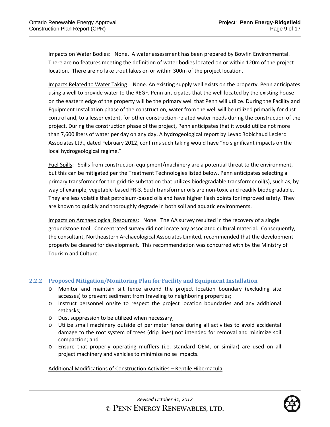Impacts on Water Bodies: None. A water assessment has been prepared by Bowfin Environmental. There are no features meeting the definition of water bodies located on or within 120m of the project location. There are no lake trout lakes on or within 300m of the project location.

Impacts Related to Water Taking: None. An existing supply well exists on the property. Penn anticipates using a well to provide water to the REGF. Penn anticipates that the well located by the existing house on the eastern edge of the property will be the primary well that Penn will utilize. During the Facility and Equipment Installation phase of the construction, water from the well will be utilized primarily for dust control and, to a lesser extent, for other construction‐related water needs during the construction of the project. During the construction phase of the project, Penn anticipates that it would utilize not more than 7,600 liters of water per day on any day. A hydrogeological report by Levac Robichaud Leclerc Associates Ltd., dated February 2012, confirms such taking would have "no significant impacts on the local hydrogeological regime."

Fuel Spills: Spills from construction equipment/machinery are a potential threat to the environment, but this can be mitigated per the Treatment Technologies listed below. Penn anticipates selecting a primary transformer for the grid‐tie substation that utilizes biodegradable transformer oil(s), such as, by way of example, vegetable-based FR-3. Such transformer oils are non-toxic and readily biodegradable. They are less volatile that petroleum‐based oils and have higher flash points for improved safety. They are known to quickly and thoroughly degrade in both soil and aquatic environments.

Impacts on Archaeological Resources: None. The AA survey resulted in the recovery of a single groundstone tool. Concentrated survey did not locate any associated cultural material. Consequently, the consultant, Northeastern Archaeological Associates Limited, recommended that the development property be cleared for development. This recommendation was concurred with by the Ministry of Tourism and Culture.

## **2.2.2 Proposed Mitigation/Monitoring Plan for Facility and Equipment Installation**

- o Monitor and maintain silt fence around the project location boundary (excluding site accesses) to prevent sediment from traveling to neighboring properties;
- o Instruct personnel onsite to respect the project location boundaries and any additional setbacks;
- o Dust suppression to be utilized when necessary;
- o Utilize small machinery outside of perimeter fence during all activities to avoid accidental damage to the root system of trees (drip lines) not intended for removal and minimize soil compaction; and
- o Ensure that properly operating mufflers (i.e. standard OEM, or similar) are used on all project machinery and vehicles to minimize noise impacts.

#### Additional Modifications of Construction Activities – Reptile Hibernacula

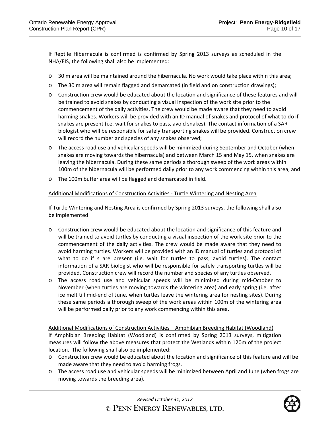If Reptile Hibernacula is confirmed is confirmed by Spring 2013 surveys as scheduled in the NHA/EIS, the following shall also be implemented:

- o 30 m area will be maintained around the hibernacula. No work would take place within this area;
- o The 30 m area will remain flagged and demarcated (in field and on construction drawings);
- o Construction crew would be educated about the location and significance of these features and will be trained to avoid snakes by conducting a visual inspection of the work site prior to the commencement of the daily activities. The crew would be made aware that they need to avoid harming snakes. Workers will be provided with an ID manual of snakes and protocol of what to do if snakes are present (i.e. wait for snakes to pass, avoid snakes). The contact information of a SAR biologist who will be responsible for safely transporting snakes will be provided. Construction crew will record the number and species of any snakes observed;
- o The access road use and vehicular speeds will be minimized during September and October (when snakes are moving towards the hibernacula) and between March 15 and May 15, when snakes are leaving the hibernacula. During these same periods a thorough sweep of the work areas within 100m of the hibernacula will be performed daily prior to any work commencing within this area; and
- o The 100m buffer area will be flagged and demarcated in field.

#### Additional Modifications of Construction Activities ‐ Turtle Wintering and Nesting Area

If Turtle Wintering and Nesting Area is confirmed by Spring 2013 surveys, the following shall also be implemented:

- o Construction crew would be educated about the location and significance of this feature and will be trained to avoid turtles by conducting a visual inspection of the work site prior to the commencement of the daily activities. The crew would be made aware that they need to avoid harming turtles. Workers will be provided with an ID manual of turtles and protocol of what to do if s are present (i.e. wait for turtles to pass, avoid turtles). The contact information of a SAR biologist who will be responsible for safely transporting turtles will be provided. Construction crew will record the number and species of any turtles observed.
- o The access road use and vehicular speeds will be minimized during mid‐October to November (when turtles are moving towards the wintering area) and early spring (i.e. after ice melt till mid‐end of June, when turtles leave the wintering area for nesting sites). During these same periods a thorough sweep of the work areas within 100m of the wintering area will be performed daily prior to any work commencing within this area.

## Additional Modifications of Construction Activities – Amphibian Breeding Habitat (Woodland)

If Amphibian Breeding Habitat (Woodland) is confirmed by Spring 2013 surveys, mitigation measures will follow the above measures that protect the Wetlands within 120m of the project location. The following shall also be implemented:

- $\circ$  Construction crew would be educated about the location and significance of this feature and will be made aware that they need to avoid harming frogs.
- o The access road use and vehicular speeds will be minimized between April and June (when frogs are moving towards the breeding area).

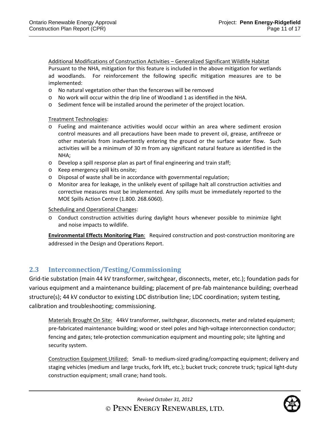Additional Modifications of Construction Activities – Generalized Significant Wildlife Habitat Pursuant to the NHA, mitigation for this feature is included in the above mitigation for wetlands ad woodlands. For reinforcement the following specific mitigation measures are to be implemented:

- o No natural vegetation other than the fencerows will be removed
- o No work will occur within the drip line of Woodland 1 as identified in the NHA.
- o Sediment fence will be installed around the perimeter of the project location.

Treatment Technologies:

- o Fueling and maintenance activities would occur within an area where sediment erosion control measures and all precautions have been made to prevent oil, grease, antifreeze or other materials from inadvertently entering the ground or the surface water flow. Such activities will be a minimum of 30 m from any significant natural feature as identified in the NHA;
- o Develop a spill response plan as part of final engineering and train staff;
- o Keep emergency spill kits onsite;
- o Disposal of waste shall be in accordance with governmental regulation;
- o Monitor area for leakage, in the unlikely event of spillage halt all construction activities and corrective measures must be implemented. Any spills must be immediately reported to the MOE Spills Action Centre (1.800. 268.6060).

Scheduling and Operational Changes:

o Conduct construction activities during daylight hours whenever possible to minimize light and noise impacts to wildlife.

**Environmental Effects Monitoring Plan**: Required construction and post‐construction monitoring are addressed in the Design and Operations Report.

## **2.3** Interconnection/Testing/Commissioning

Grid-tie substation (main 44 kV transformer, switchgear, disconnects, meter, etc.); foundation pads for various equipment and a maintenance building; placement of pre‐fab maintenance building; overhead structure(s); 44 kV conductor to existing LDC distribution line; LDC coordination; system testing, calibration and troubleshooting; commissioning.

Materials Brought On Site: 44kV transformer, switchgear, disconnects, meter and related equipment; pre-fabricated maintenance building; wood or steel poles and high-voltage interconnection conductor; fencing and gates; tele‐protection communication equipment and mounting pole; site lighting and security system.

Construction Equipment Utilized: Small‐ to medium‐sized grading/compacting equipment; delivery and staging vehicles (medium and large trucks, fork lift, etc.); bucket truck; concrete truck; typical light‐duty construction equipment; small crane; hand tools.

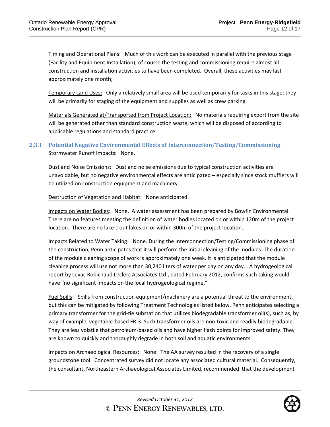Timing and Operational Plans: Much of this work can be executed in parallel with the previous stage (Facility and Equipment Installation); of course the testing and commissioning require almost all construction and installation activities to have been completed. Overall, these activities may last approximately one month;

Temporary Land Uses: Only a relatively small area will be used temporarily for tasks in this stage; they will be primarily for staging of the equipment and supplies as well as crew parking.

Materials Generated at/Transported from Project Location: No materials requiring export from the site will be generated other than standard construction waste, which will be disposed of according to applicable regulations and standard practice.

## **2.3.1 Potential Negative Environmental Effects of Interconnection/Testing/Commissioning**  Stormwater Runoff Impacts: None.

Dust and Noise Emissions: Dust and noise emissions due to typical construction activities are unavoidable, but no negative environmental effects are anticipated – especially since stock mufflers will be utilized on construction equipment and machinery.

Destruction of Vegetation and Habitat: None anticipated.

Impacts on Water Bodies: None. A water assessment has been prepared by Bowfin Environmental. There are no features meeting the definition of water bodies located on or within 120m of the project location. There are no lake trout lakes on or within 300m of the project location.

Impacts Related to Water Taking: None. During the Interconnection/Testing/Commissioning phase of the construction, Penn anticipates that it will perform the initial cleaning of the modules. The duration of the module cleaning scope of work is approximately one week. It is anticipated that the module cleaning process will use not more than 30,240 liters of water per day on any day. . A hydrogeological report by Levac Robichaud Leclerc Associates Ltd., dated February 2012, confirms such taking would have "no significant impacts on the local hydrogeological regime."

Fuel Spills: Spills from construction equipment/machinery are a potential threat to the environment, but this can be mitigated by following Treatment Technologies listed below. Penn anticipates selecting a primary transformer for the grid‐tie substation that utilizes biodegradable transformer oil(s), such as, by way of example, vegetable-based FR-3. Such transformer oils are non-toxic and readily biodegradable. They are less volatile that petroleum‐based oils and have higher flash points for improved safety. They are known to quickly and thoroughly degrade in both soil and aquatic environments.

Impacts on Archaeological Resources: None. The AA survey resulted in the recovery of a single groundstone tool. Concentrated survey did not locate any associated cultural material. Consequently, the consultant, Northeastern Archaeological Associates Limited, recommended that the development

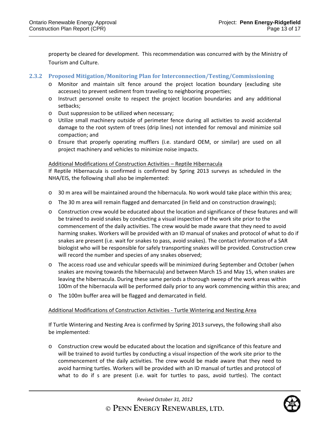property be cleared for development. This recommendation was concurred with by the Ministry of Tourism and Culture.

## **2.3.2 Proposed Mitigation/Monitoring Plan for Interconnection/Testing/Commissioning**

- o Monitor and maintain silt fence around the project location boundary (excluding site accesses) to prevent sediment from traveling to neighboring properties;
- o Instruct personnel onsite to respect the project location boundaries and any additional setbacks;
- o Dust suppression to be utilized when necessary;
- o Utilize small machinery outside of perimeter fence during all activities to avoid accidental damage to the root system of trees (drip lines) not intended for removal and minimize soil compaction; and
- o Ensure that properly operating mufflers (i.e. standard OEM, or similar) are used on all project machinery and vehicles to minimize noise impacts.

#### Additional Modifications of Construction Activities – Reptile Hibernacula

If Reptile Hibernacula is confirmed is confirmed by Spring 2013 surveys as scheduled in the NHA/EIS, the following shall also be implemented:

- o 30 m area will be maintained around the hibernacula. No work would take place within this area;
- o The 30 m area will remain flagged and demarcated (in field and on construction drawings);
- o Construction crew would be educated about the location and significance of these features and will be trained to avoid snakes by conducting a visual inspection of the work site prior to the commencement of the daily activities. The crew would be made aware that they need to avoid harming snakes. Workers will be provided with an ID manual of snakes and protocol of what to do if snakes are present (i.e. wait for snakes to pass, avoid snakes). The contact information of a SAR biologist who will be responsible for safely transporting snakes will be provided. Construction crew will record the number and species of any snakes observed;
- o The access road use and vehicular speeds will be minimized during September and October (when snakes are moving towards the hibernacula) and between March 15 and May 15, when snakes are leaving the hibernacula. During these same periods a thorough sweep of the work areas within 100m of the hibernacula will be performed daily prior to any work commencing within this area; and
- o The 100m buffer area will be flagged and demarcated in field.

## Additional Modifications of Construction Activities ‐ Turtle Wintering and Nesting Area

If Turtle Wintering and Nesting Area is confirmed by Spring 2013 surveys, the following shall also be implemented:

o Construction crew would be educated about the location and significance of this feature and will be trained to avoid turtles by conducting a visual inspection of the work site prior to the commencement of the daily activities. The crew would be made aware that they need to avoid harming turtles. Workers will be provided with an ID manual of turtles and protocol of what to do if s are present (i.e. wait for turtles to pass, avoid turtles). The contact

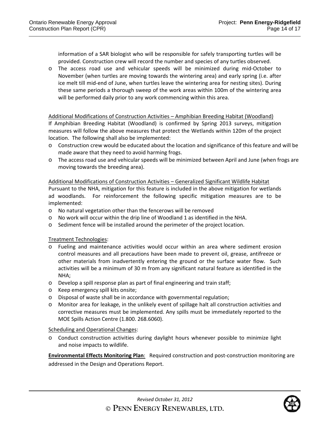information of a SAR biologist who will be responsible for safely transporting turtles will be provided. Construction crew will record the number and species of any turtles observed.

o The access road use and vehicular speeds will be minimized during mid‐October to November (when turtles are moving towards the wintering area) and early spring (i.e. after ice melt till mid‐end of June, when turtles leave the wintering area for nesting sites). During these same periods a thorough sweep of the work areas within 100m of the wintering area will be performed daily prior to any work commencing within this area.

#### Additional Modifications of Construction Activities – Amphibian Breeding Habitat (Woodland)

If Amphibian Breeding Habitat (Woodland) is confirmed by Spring 2013 surveys, mitigation measures will follow the above measures that protect the Wetlands within 120m of the project location. The following shall also be implemented:

- o Construction crew would be educated about the location and significance of this feature and will be made aware that they need to avoid harming frogs.
- o The access road use and vehicular speeds will be minimized between April and June (when frogs are moving towards the breeding area).

Additional Modifications of Construction Activities – Generalized Significant Wildlife Habitat Pursuant to the NHA, mitigation for this feature is included in the above mitigation for wetlands ad woodlands. For reinforcement the following specific mitigation measures are to be implemented:

- o No natural vegetation other than the fencerows will be removed
- o No work will occur within the drip line of Woodland 1 as identified in the NHA.
- o Sediment fence will be installed around the perimeter of the project location.

Treatment Technologies:

- o Fueling and maintenance activities would occur within an area where sediment erosion control measures and all precautions have been made to prevent oil, grease, antifreeze or other materials from inadvertently entering the ground or the surface water flow. Such activities will be a minimum of 30 m from any significant natural feature as identified in the NHA;
- o Develop a spill response plan as part of final engineering and train staff;
- o Keep emergency spill kits onsite;
- o Disposal of waste shall be in accordance with governmental regulation;
- o Monitor area for leakage, in the unlikely event of spillage halt all construction activities and corrective measures must be implemented. Any spills must be immediately reported to the MOE Spills Action Centre (1.800. 268.6060).

#### Scheduling and Operational Changes:

o Conduct construction activities during daylight hours whenever possible to minimize light and noise impacts to wildlife.

**Environmental Effects Monitoring Plan**: Required construction and post‐construction monitoring are addressed in the Design and Operations Report.



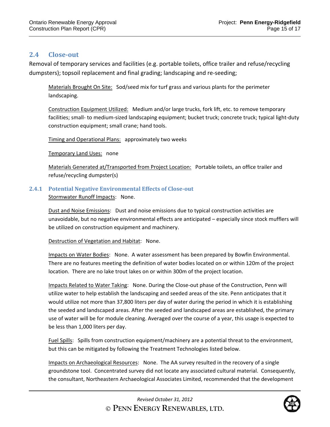## **2.4 Close‐out**

Removal of temporary services and facilities (e.g. portable toilets, office trailer and refuse/recycling dumpsters); topsoil replacement and final grading; landscaping and re‐seeding;

Materials Brought On Site: Sod/seed mix for turf grass and various plants for the perimeter landscaping.

Construction Equipment Utilized: Medium and/or large trucks, fork lift, etc. to remove temporary facilities; small‐ to medium‐sized landscaping equipment; bucket truck; concrete truck; typical light‐duty construction equipment; small crane; hand tools.

Timing and Operational Plans: approximately two weeks

Temporary Land Uses: none

Materials Generated at/Transported from Project Location: Portable toilets, an office trailer and refuse/recycling dumpster(s)

## **2.4.1 Potential Negative Environmental Effects of Close‐out**

Stormwater Runoff Impacts: None.

Dust and Noise Emissions: Dust and noise emissions due to typical construction activities are unavoidable, but no negative environmental effects are anticipated – especially since stock mufflers will be utilized on construction equipment and machinery.

Destruction of Vegetation and Habitat: None.

Impacts on Water Bodies: None. A water assessment has been prepared by Bowfin Environmental. There are no features meeting the definition of water bodies located on or within 120m of the project location. There are no lake trout lakes on or within 300m of the project location.

Impacts Related to Water Taking: None. During the Close-out phase of the Construction, Penn will utilize water to help establish the landscaping and seeded areas of the site. Penn anticipates that it would utilize not more than 37,800 liters per day of water during the period in which it is establishing the seeded and landscaped areas. After the seeded and landscaped areas are established, the primary use of water will be for module cleaning. Averaged over the course of a year, this usage is expected to be less than 1,000 liters per day.

Fuel Spills: Spills from construction equipment/machinery are a potential threat to the environment, but this can be mitigated by following the Treatment Technologies listed below.

Impacts on Archaeological Resources: None. The AA survey resulted in the recovery of a single groundstone tool. Concentrated survey did not locate any associated cultural material. Consequently, the consultant, Northeastern Archaeological Associates Limited, recommended that the development

> *Revised October 31, 2012* **© PENN ENERGY RENEWABLES, LTD.**

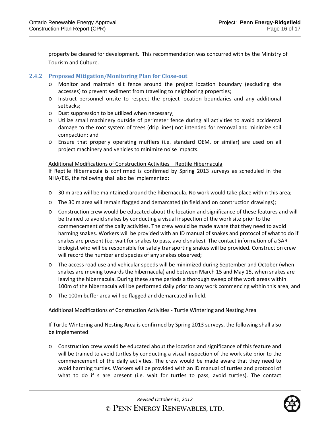property be cleared for development. This recommendation was concurred with by the Ministry of Tourism and Culture.

## **2.4.2 Proposed Mitigation/Monitoring Plan for Close‐out**

- o Monitor and maintain silt fence around the project location boundary (excluding site accesses) to prevent sediment from traveling to neighboring properties;
- o Instruct personnel onsite to respect the project location boundaries and any additional setbacks;
- o Dust suppression to be utilized when necessary;
- o Utilize small machinery outside of perimeter fence during all activities to avoid accidental damage to the root system of trees (drip lines) not intended for removal and minimize soil compaction; and
- o Ensure that properly operating mufflers (i.e. standard OEM, or similar) are used on all project machinery and vehicles to minimize noise impacts.

## Additional Modifications of Construction Activities – Reptile Hibernacula

If Reptile Hibernacula is confirmed is confirmed by Spring 2013 surveys as scheduled in the NHA/EIS, the following shall also be implemented:

- o 30 m area will be maintained around the hibernacula. No work would take place within this area;
- o The 30 m area will remain flagged and demarcated (in field and on construction drawings);
- o Construction crew would be educated about the location and significance of these features and will be trained to avoid snakes by conducting a visual inspection of the work site prior to the commencement of the daily activities. The crew would be made aware that they need to avoid harming snakes. Workers will be provided with an ID manual of snakes and protocol of what to do if snakes are present (i.e. wait for snakes to pass, avoid snakes). The contact information of a SAR biologist who will be responsible for safely transporting snakes will be provided. Construction crew will record the number and species of any snakes observed;
- o The access road use and vehicular speeds will be minimized during September and October (when snakes are moving towards the hibernacula) and between March 15 and May 15, when snakes are leaving the hibernacula. During these same periods a thorough sweep of the work areas within 100m of the hibernacula will be performed daily prior to any work commencing within this area; and
- o The 100m buffer area will be flagged and demarcated in field.

## Additional Modifications of Construction Activities ‐ Turtle Wintering and Nesting Area

If Turtle Wintering and Nesting Area is confirmed by Spring 2013 surveys, the following shall also be implemented:

o Construction crew would be educated about the location and significance of this feature and will be trained to avoid turtles by conducting a visual inspection of the work site prior to the commencement of the daily activities. The crew would be made aware that they need to avoid harming turtles. Workers will be provided with an ID manual of turtles and protocol of what to do if s are present (i.e. wait for turtles to pass, avoid turtles). The contact